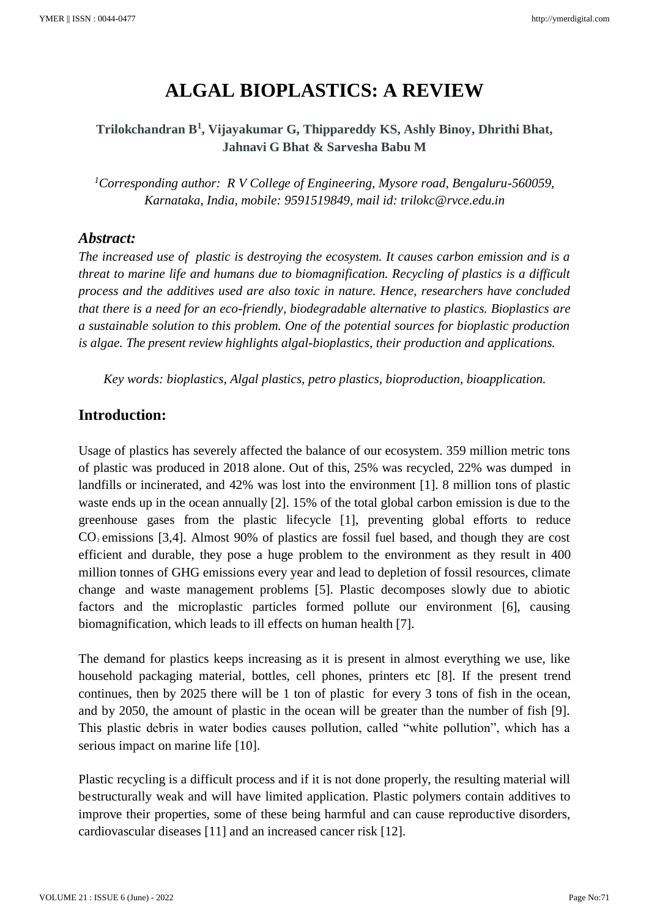# **ALGAL BIOPLASTICS: A REVIEW**

**Trilokchandran B<sup>1</sup> , Vijayakumar G, Thippareddy KS, Ashly Binoy, Dhrithi Bhat, Jahnavi G Bhat & Sarvesha Babu M**

*<sup>1</sup>Corresponding author: R V College of Engineering, Mysore road, Bengaluru-560059, Karnataka, India, mobile: 9591519849, mail id: trilokc@rvce.edu.in*

## *Abstract:*

*The increased use of plastic is destroying the ecosystem. It causes carbon emission and is a threat to marine life and humans due to biomagnification. Recycling of plastics is a difficult process and the additives used are also toxic in nature. Hence, researchers have concluded that there is a need for an eco-friendly, biodegradable alternative to plastics. Bioplastics are a sustainable solution to this problem. One of the potential sources for bioplastic production is algae. The present review highlights algal-bioplastics, their production and applications.*

*Key words: bioplastics, Algal plastics, petro plastics, bioproduction, bioapplication.*

# **Introduction:**

Usage of plastics has severely affected the balance of our ecosystem. 359 million metric tons of plastic was produced in 2018 alone. Out of this, 25% was recycled, 22% was dumped in landfills or incinerated, and 42% was lost into the environment [1]. 8 million tons of plastic waste ends up in the ocean annually [2]. 15% of the total global carbon emission is due to the greenhouse gases from the plastic lifecycle [1], preventing global efforts to reduce  $CO<sub>2</sub>$  emissions [3,4]. Almost 90% of plastics are fossil fuel based, and though they are cost efficient and durable, they pose a huge problem to the environment as they result in 400 million tonnes of GHG emissions every year and lead to depletion of fossil resources, climate change and waste management problems [5]. Plastic decomposes slowly due to abiotic factors and the microplastic particles formed pollute our environment [6], causing biomagnification, which leads to ill effects on human health [7].

The demand for plastics keeps increasing as it is present in almost everything we use, like household packaging material, bottles, cell phones, printers etc [8]. If the present trend continues, then by 2025 there will be 1 ton of plastic for every 3 tons of fish in the ocean, and by 2050, the amount of plastic in the ocean will be greater than the number of fish [9]. This plastic debris in water bodies causes pollution, called "white pollution", which has a serious impact on marine life [10].

Plastic recycling is a difficult process and if it is not done properly, the resulting material will bestructurally weak and will have limited application. Plastic polymers contain additives to improve their properties, some of these being harmful and can cause reproductive disorders, cardiovascular diseases [11] and an increased cancer risk [12].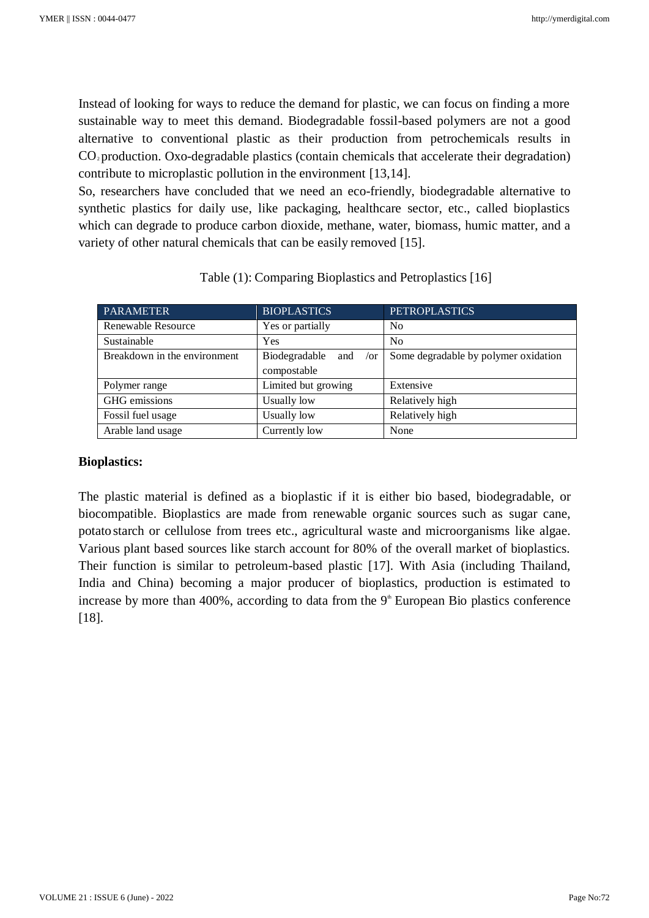Instead of looking for ways to reduce the demand for plastic, we can focus on finding a more sustainable way to meet this demand. Biodegradable fossil-based polymers are not a good alternative to conventional plastic as their production from petrochemicals results in  $CO<sub>2</sub>$  production. Oxo-degradable plastics (contain chemicals that accelerate their degradation) contribute to microplastic pollution in the environment [13,14].

So, researchers have concluded that we need an eco-friendly, biodegradable alternative to synthetic plastics for daily use, like packaging, healthcare sector, etc., called bioplastics which can degrade to produce carbon dioxide, methane, water, biomass, humic matter, and a variety of other natural chemicals that can be easily removed [15].

| <b>PARAMETER</b>             | <b>BIOPLASTICS</b>               | <b>PETROPLASTICS</b>                 |
|------------------------------|----------------------------------|--------------------------------------|
| Renewable Resource           | Yes or partially                 | N <sub>0</sub>                       |
| Sustainable                  | Yes                              | N <sub>0</sub>                       |
| Breakdown in the environment | Biodegradable<br>and<br>$\sigma$ | Some degradable by polymer oxidation |
|                              | compostable                      |                                      |
| Polymer range                | Limited but growing              | Extensive                            |
| GHG emissions                | Usually low                      | Relatively high                      |
| Fossil fuel usage            | Usually low                      | Relatively high                      |
| Arable land usage            | Currently low                    | None                                 |

| Table (1): Comparing Bioplastics and Petroplastics [16] |
|---------------------------------------------------------|
|---------------------------------------------------------|

#### **Bioplastics:**

The plastic material is defined as a bioplastic if it is either bio based, biodegradable, or biocompatible. Bioplastics are made from renewable organic sources such as sugar cane, potato starch or cellulose from trees etc., agricultural waste and microorganisms like algae. Various plant based sources like starch account for 80% of the overall market of bioplastics. Their function is similar to petroleum-based plastic [17]. With Asia (including Thailand, India and China) becoming a major producer of bioplastics, production is estimated to increase by more than  $400\%$ , according to data from the  $9<sup>th</sup>$  European Bio plastics conference [18].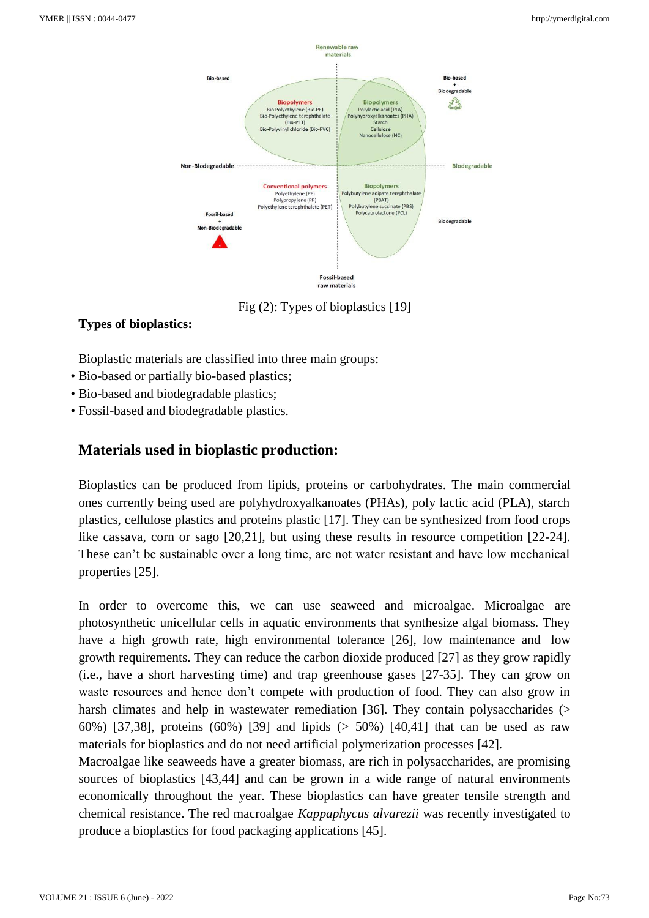

Fig (2): Types of bioplastics [19]

# **Types of bioplastics:**

Bioplastic materials are classified into three main groups:

- Bio-based or partially bio-based plastics;
- Bio-based and biodegradable plastics;
- Fossil-based and biodegradable plastics.

# **Materials used in bioplastic production:**

Bioplastics can be produced from lipids, proteins or carbohydrates. The main commercial ones currently being used are polyhydroxyalkanoates (PHAs), poly lactic acid (PLA), starch plastics, cellulose plastics and proteins plastic [17]. They can be synthesized from food crops like cassava, corn or sago [20,21], but using these results in resource competition [22-24]. These can't be sustainable over a long time, are not water resistant and have low mechanical properties [25].

In order to overcome this, we can use seaweed and microalgae. Microalgae are photosynthetic unicellular cells in aquatic environments that synthesize algal biomass. They have a high growth rate, high environmental tolerance [26], low maintenance and low growth requirements. They can reduce the carbon dioxide produced [27] as they grow rapidly (i.e., have a short harvesting time) and trap greenhouse gases [27-35]. They can grow on waste resources and hence don't compete with production of food. They can also grow in harsh climates and help in wastewater remediation [36]. They contain polysaccharides (> 60%) [37,38], proteins (60%) [39] and lipids (> 50%) [40,41] that can be used as raw materials for bioplastics and do not need artificial polymerization processes [42].

Macroalgae like seaweeds have a greater biomass, are rich in polysaccharides, are promising sources of bioplastics [43,44] and can be grown in a wide range of natural environments economically throughout the year. These bioplastics can have greater tensile strength and chemical resistance. The red macroalgae *Kappaphycus alvarezii* was recently investigated to produce a bioplastics for food packaging applications [45].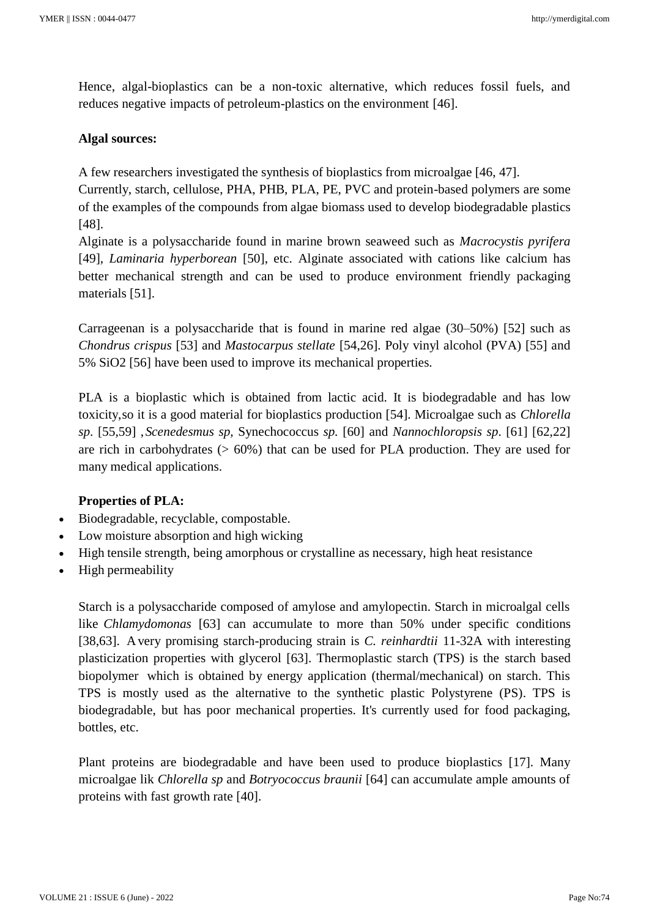Hence, algal-bioplastics can be a non-toxic alternative, which reduces fossil fuels, and reduces negative impacts of petroleum-plastics on the environment [46].

### **Algal sources:**

A few researchers investigated the synthesis of bioplastics from microalgae [46, 47].

Currently, starch, cellulose, PHA, PHB, PLA, PE, PVC and protein-based polymers are some of the examples of the compounds from algae biomass used to develop biodegradable plastics [48].

Alginate is a polysaccharide found in marine brown seaweed such as *Macrocystis pyrifera*  [49], *Laminaria hyperborean* [50], etc. Alginate associated with cations like calcium has better mechanical strength and can be used to produce environment friendly packaging materials [51].

Carrageenan is a polysaccharide that is found in marine red algae (30–50%) [52] such as *Chondrus crispus* [53] and *Mastocarpus stellate* [54,26]. Poly vinyl alcohol (PVA) [55] and 5% SiO2 [56] have been used to improve its mechanical properties.

PLA is a bioplastic which is obtained from lactic acid. It is biodegradable and has low toxicity,so it is a good material for bioplastics production [54]. Microalgae such as *Chlorella sp*. [55,59] ,*Scenedesmus sp,* Synechococcus *sp.* [60] and *Nannochloropsis sp*. [61] [62,22] are rich in carbohydrates  $(0.60\%)$  that can be used for PLA production. They are used for many medical applications.

## **Properties of PLA:**

- Biodegradable, recyclable, compostable.
- Low moisture absorption and high wicking
- High tensile strength, being amorphous or crystalline as necessary, high heat resistance
- High permeability

Starch is a polysaccharide composed of amylose and amylopectin. Starch in microalgal cells like *Chlamydomonas* [63] can accumulate to more than 50% under specific conditions [38,63]. Avery promising starch-producing strain is *C. reinhardtii* 11-32A with interesting plasticization properties with glycerol [63]. Thermoplastic starch (TPS) is the starch based biopolymer which is obtained by energy application (thermal/mechanical) on starch. This TPS is mostly used as the alternative to the synthetic plastic Polystyrene (PS). TPS is biodegradable, but has poor mechanical properties. It's currently used for food packaging, bottles, etc.

Plant proteins are biodegradable and have been used to produce bioplastics [17]. Many microalgae lik *Chlorella sp* and *Botryococcus braunii* [64] can accumulate ample amounts of proteins with fast growth rate [40].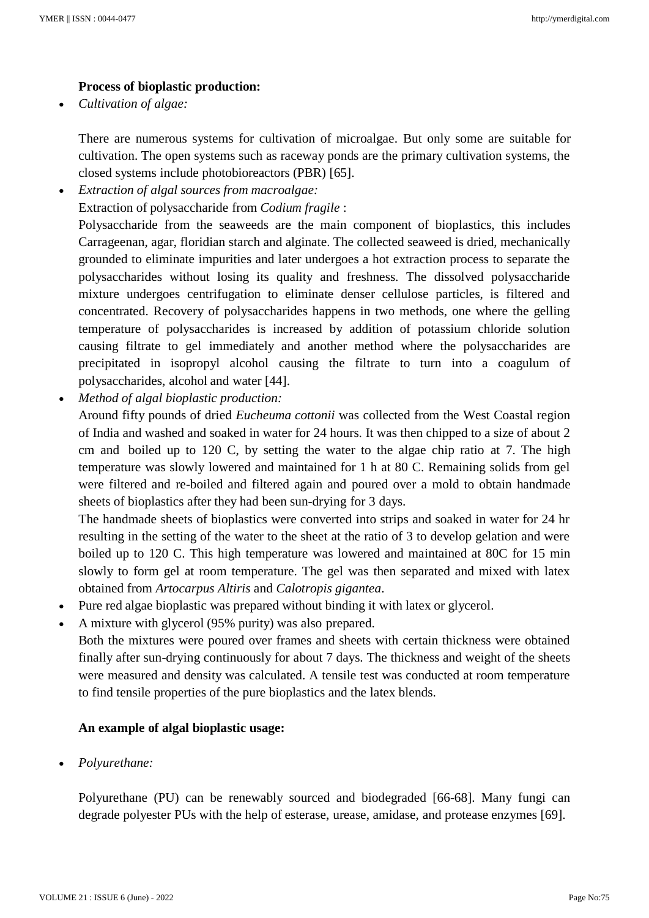## **Process of bioplastic production:**

• *Cultivation of algae:*

There are numerous systems for cultivation of microalgae. But only some are suitable for cultivation. The open systems such as raceway ponds are the primary cultivation systems, the closed systems include photobioreactors (PBR) [65].

• *Extraction of algal sources from macroalgae:*

Extraction of polysaccharide from *Codium fragile* :

Polysaccharide from the seaweeds are the main component of bioplastics, this includes Carrageenan, agar, floridian starch and alginate. The collected seaweed is dried, mechanically grounded to eliminate impurities and later undergoes a hot extraction process to separate the polysaccharides without losing its quality and freshness. The dissolved polysaccharide mixture undergoes centrifugation to eliminate denser cellulose particles, is filtered and concentrated. Recovery of polysaccharides happens in two methods, one where the gelling temperature of polysaccharides is increased by addition of potassium chloride solution causing filtrate to gel immediately and another method where the polysaccharides are precipitated in isopropyl alcohol causing the filtrate to turn into a coagulum of polysaccharides, alcohol and water [44].

• *Method of algal bioplastic production:*

Around fifty pounds of dried *Eucheuma cottonii* was collected from the West Coastal region of India and washed and soaked in water for 24 hours. It was then chipped to a size of about 2 cm and boiled up to 120 C, by setting the water to the algae chip ratio at 7. The high temperature was slowly lowered and maintained for 1 h at 80 C. Remaining solids from gel were filtered and re-boiled and filtered again and poured over a mold to obtain handmade sheets of bioplastics after they had been sun-drying for 3 days.

The handmade sheets of bioplastics were converted into strips and soaked in water for 24 hr resulting in the setting of the water to the sheet at the ratio of 3 to develop gelation and were boiled up to 120 C. This high temperature was lowered and maintained at 80C for 15 min slowly to form gel at room temperature. The gel was then separated and mixed with latex obtained from *Artocarpus Altiris* and *Calotropis gigantea*.

- Pure red algae bioplastic was prepared without binding it with latex or glycerol.
- A mixture with glycerol (95% purity) was also prepared.

Both the mixtures were poured over frames and sheets with certain thickness were obtained finally after sun-drying continuously for about 7 days. The thickness and weight of the sheets were measured and density was calculated. A tensile test was conducted at room temperature to find tensile properties of the pure bioplastics and the latex blends.

# **An example of algal bioplastic usage:**

• *Polyurethane:*

Polyurethane (PU) can be renewably sourced and biodegraded [66-68]. Many fungi can degrade polyester PUs with the help of esterase, urease, amidase, and protease enzymes [69].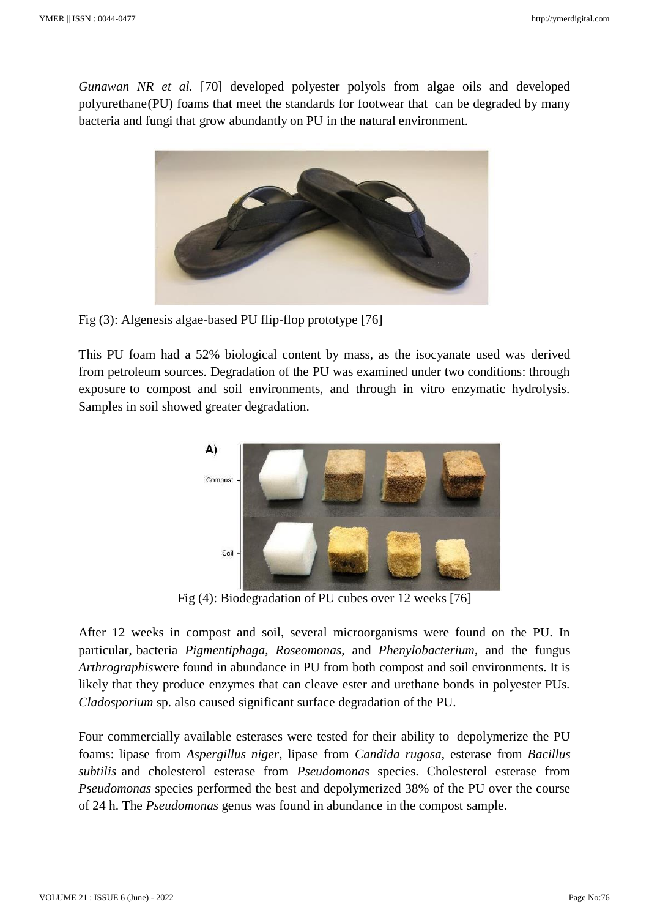*Gunawan NR et al.* [70] developed polyester polyols from algae oils and developed polyurethane(PU) foams that meet the standards for footwear that can be degraded by many bacteria and fungi that grow abundantly on PU in the natural environment.



Fig (3): Algenesis algae-based PU flip-flop prototype [76]

This PU foam had a 52% biological content by mass, as the isocyanate used was derived from petroleum sources. Degradation of the PU was examined under two conditions: through exposure to compost and soil environments, and through in vitro enzymatic hydrolysis. Samples in soil showed greater degradation.



Fig (4): Biodegradation of PU cubes over 12 weeks [76]

After 12 weeks in compost and soil, several microorganisms were found on the PU. In particular, bacteria *Pigmentiphaga*, *Roseomonas*, and *Phenylobacterium*, and the fungus *Arthrographis*were found in abundance in PU from both compost and soil environments. It is likely that they produce enzymes that can cleave ester and urethane bonds in polyester PUs. *Cladosporium* sp. also caused significant surface degradation of the PU.

Four commercially available esterases were tested for their ability to depolymerize the PU foams: lipase from *Aspergillus niger*, lipase from *Candida rugosa*, esterase from *Bacillus subtilis* and cholesterol esterase from *Pseudomonas* species. Cholesterol esterase from *Pseudomonas* species performed the best and depolymerized 38% of the PU over the course of 24 h. The *Pseudomonas* genus was found in abundance in the compost sample.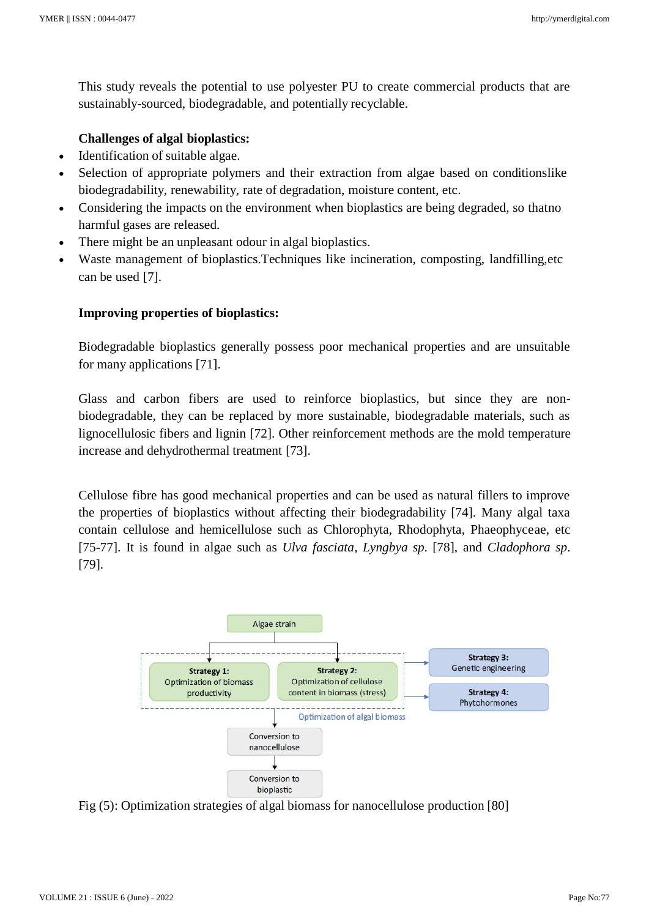This study reveals the potential to use polyester PU to create commercial products that are sustainably-sourced, biodegradable, and potentially recyclable.

## **Challenges of algal bioplastics:**

- Identification of suitable algae.
- Selection of appropriate polymers and their extraction from algae based on conditionslike biodegradability, renewability, rate of degradation, moisture content, etc.
- Considering the impacts on the environment when bioplastics are being degraded, so thatno harmful gases are released.
- There might be an unpleasant odour in algal bioplastics.
- Waste management of bioplastics.Techniques like incineration, composting, landfilling,etc can be used [7].

## **Improving properties of bioplastics:**

Biodegradable bioplastics generally possess poor mechanical properties and are unsuitable for many applications [71].

Glass and carbon fibers are used to reinforce bioplastics, but since they are nonbiodegradable, they can be replaced by more sustainable, biodegradable materials, such as lignocellulosic fibers and lignin [72]. Other reinforcement methods are the mold temperature increase and dehydrothermal treatment [73].

Cellulose fibre has good mechanical properties and can be used as natural fillers to improve the properties of bioplastics without affecting their biodegradability [74]. Many algal taxa contain cellulose and hemicellulose such as Chlorophyta, Rhodophyta, Phaeophyceae, etc [75-77]. It is found in algae such as *Ulva fasciata*, *Lyngbya sp*. [78], and *Cladophora sp*. [79].



Fig (5): Optimization strategies of algal biomass for nanocellulose production [80]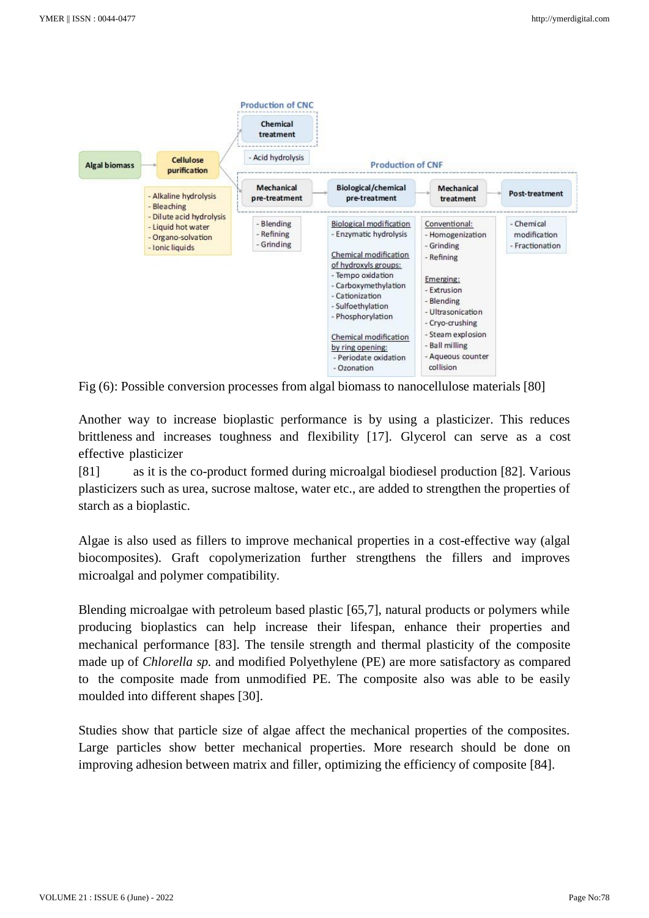

Fig (6): Possible conversion processes from algal biomass to nanocellulose materials [80]

Another way to increase bioplastic performance is by using a plasticizer. This reduces brittleness and increases toughness and flexibility [17]. Glycerol can serve as a cost effective plasticizer

[81] as it is the co-product formed during microalgal biodiesel production [82]. Various plasticizers such as urea, sucrose maltose, water etc., are added to strengthen the properties of starch as a bioplastic.

Algae is also used as fillers to improve mechanical properties in a cost-effective way (algal biocomposites). Graft copolymerization further strengthens the fillers and improves microalgal and polymer compatibility.

Blending microalgae with petroleum based plastic [65,7], natural products or polymers while producing bioplastics can help increase their lifespan, enhance their properties and mechanical performance [83]. The tensile strength and thermal plasticity of the composite made up of *Chlorella sp.* and modified Polyethylene (PE) are more satisfactory as compared to the composite made from unmodified PE. The composite also was able to be easily moulded into different shapes [30].

Studies show that particle size of algae affect the mechanical properties of the composites. Large particles show better mechanical properties. More research should be done on improving adhesion between matrix and filler, optimizing the efficiency of composite [84].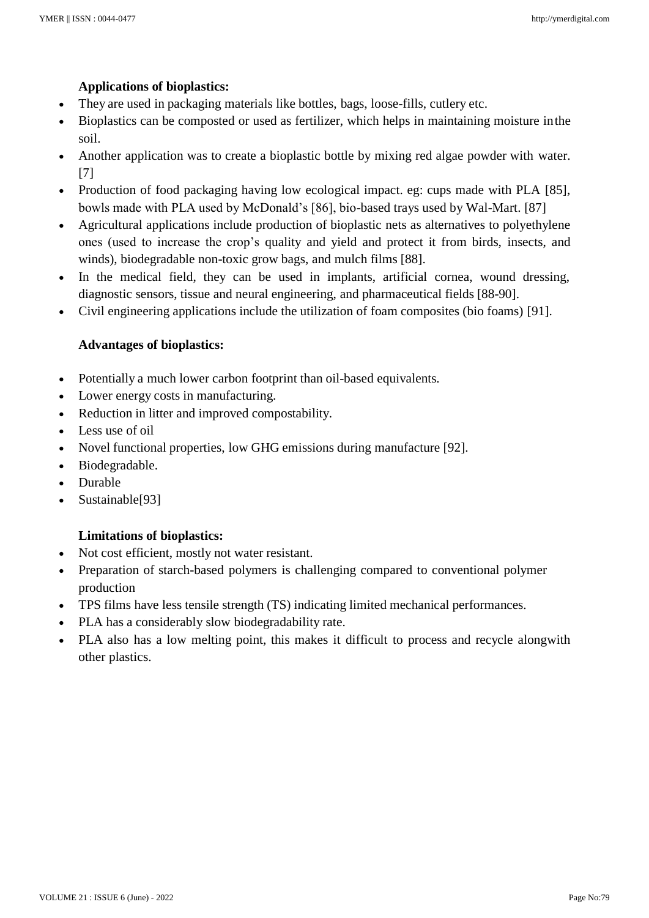## **Applications of bioplastics:**

- They are used in packaging materials like bottles, bags, loose-fills, cutlery etc.
- Bioplastics can be composted or used as fertilizer, which helps in maintaining moisture inthe soil.
- Another application was to create a bioplastic bottle by mixing red algae powder with water. [7]
- Production of food packaging having low ecological impact. eg: cups made with PLA [85], bowls made with PLA used by McDonald's [86], bio-based trays used by Wal-Mart. [87]
- Agricultural applications include production of bioplastic nets as alternatives to polyethylene ones (used to increase the crop's quality and yield and protect it from birds, insects, and winds), biodegradable non-toxic grow bags, and mulch films [88].
- In the medical field, they can be used in implants, artificial cornea, wound dressing, diagnostic sensors, tissue and neural engineering, and pharmaceutical fields [88-90].
- Civil engineering applications include the utilization of foam composites (bio foams) [91].

## **Advantages of bioplastics:**

- Potentially a much lower carbon footprint than oil-based equivalents.
- Lower energy costs in manufacturing.
- Reduction in litter and improved compostability.
- Less use of oil
- Novel functional properties, low GHG emissions during manufacture [92].
- Biodegradable.
- Durable
- Sustainable[93]

## **Limitations of bioplastics:**

- Not cost efficient, mostly not water resistant.
- Preparation of starch-based polymers is challenging compared to conventional polymer production
- TPS films have less tensile strength (TS) indicating limited mechanical performances.
- PLA has a considerably slow biodegradability rate.
- PLA also has a low melting point, this makes it difficult to process and recycle alongwith other plastics.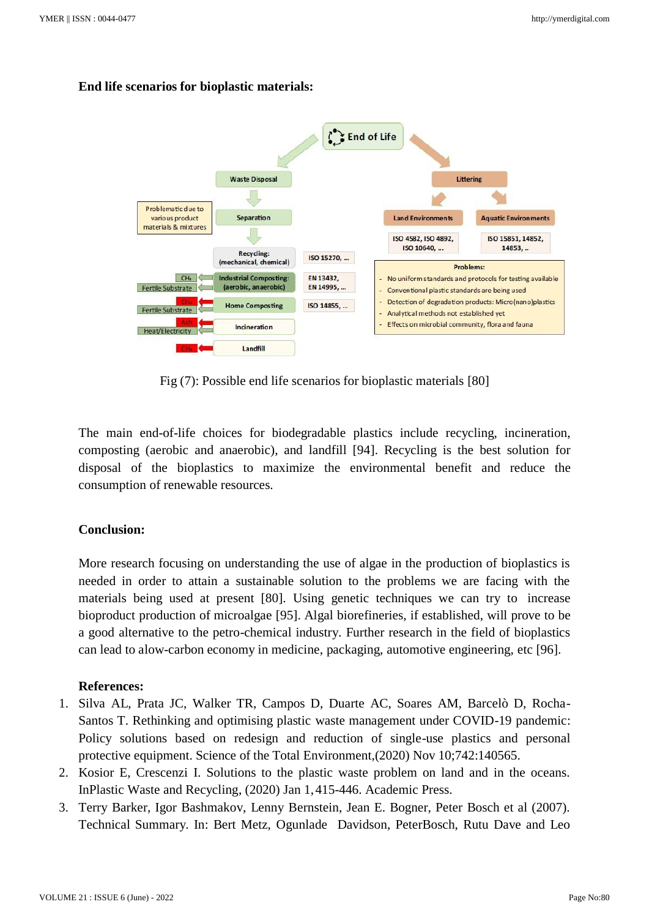#### **End life scenarios for bioplastic materials:**



Fig (7): Possible end life scenarios for bioplastic materials [80]

The main end-of-life choices for biodegradable plastics include recycling, incineration, composting (aerobic and anaerobic), and landfill [94]. Recycling is the best solution for disposal of the bioplastics to maximize the environmental benefit and reduce the consumption of renewable resources.

#### **Conclusion:**

More research focusing on understanding the use of algae in the production of bioplastics is needed in order to attain a sustainable solution to the problems we are facing with the materials being used at present [80]. Using genetic techniques we can try to increase bioproduct production of microalgae [95]. Algal biorefineries, if established, will prove to be a good alternative to the petro-chemical industry. Further research in the field of bioplastics can lead to alow-carbon economy in medicine, packaging, automotive engineering, etc [96].

#### **References:**

- 1. Silva AL, Prata JC, Walker TR, Campos D, Duarte AC, Soares AM, Barcelò D, Rocha-Santos T. Rethinking and optimising plastic waste management under COVID-19 pandemic: Policy solutions based on redesign and reduction of single-use plastics and personal protective equipment. Science of the Total Environment,(2020) Nov 10;742:140565.
- 2. Kosior E, Crescenzi I. Solutions to the plastic waste problem on land and in the oceans. InPlastic Waste and Recycling, (2020) Jan 1,415-446. Academic Press.
- 3. Terry Barker, Igor Bashmakov, Lenny Bernstein, Jean E. Bogner, Peter Bosch et al (2007). Technical Summary. In: Bert Metz, Ogunlade Davidson, PeterBosch, Rutu Dave and Leo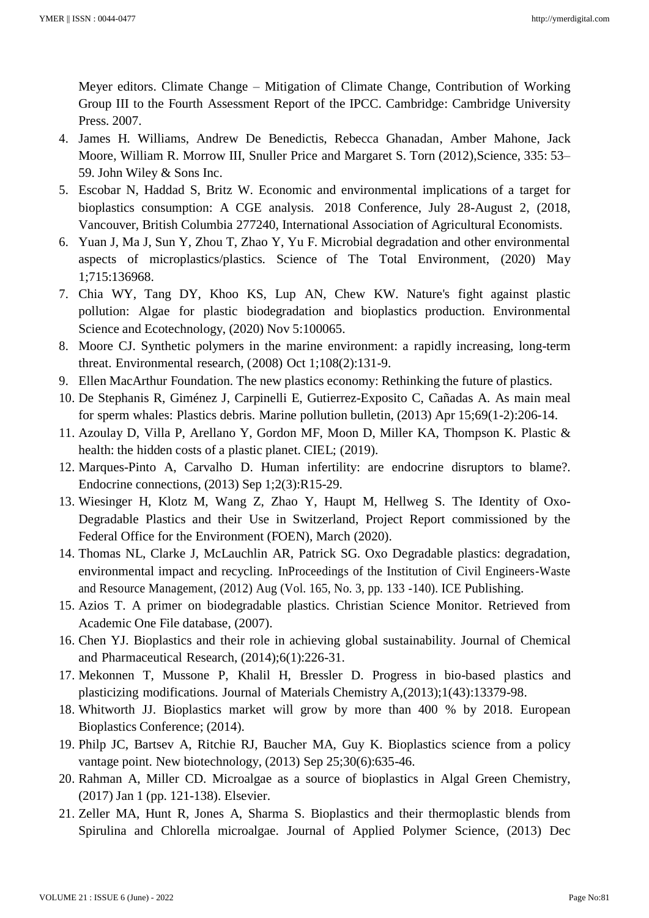Meyer editors. Climate Change – Mitigation of Climate Change, Contribution of Working Group III to the Fourth Assessment Report of the IPCC. Cambridge: Cambridge University Press. 2007.

- 4. James H. Williams, Andrew De Benedictis, Rebecca Ghanadan, Amber Mahone, Jack Moore, William R. Morrow III, Snuller Price and Margaret S. Torn (2012), Science, 335: 53– 59. John Wiley & Sons Inc.
- 5. Escobar N, Haddad S, Britz W. Economic and environmental implications of a target for bioplastics consumption: A CGE analysis. 2018 Conference, July 28-August 2, (2018, Vancouver, British Columbia 277240, International Association of Agricultural Economists.
- 6. Yuan J, Ma J, Sun Y, Zhou T, Zhao Y, Yu F. Microbial degradation and other environmental aspects of microplastics/plastics. Science of The Total Environment, (2020) May 1;715:136968.
- 7. Chia WY, Tang DY, Khoo KS, Lup AN, Chew KW. Nature's fight against plastic pollution: Algae for plastic biodegradation and bioplastics production. Environmental Science and Ecotechnology, (2020) Nov 5:100065.
- 8. Moore CJ. Synthetic polymers in the marine environment: a rapidly increasing, long-term threat. Environmental research, (2008) Oct 1;108(2):131-9.
- 9. Ellen MacArthur Foundation. The new plastics economy: Rethinking the future of plastics.
- 10. De Stephanis R, Giménez J, Carpinelli E, Gutierrez-Exposito C, Cañadas A. As main meal for sperm whales: Plastics debris. Marine pollution bulletin, (2013) Apr 15;69(1-2):206-14.
- 11. Azoulay D, Villa P, Arellano Y, Gordon MF, Moon D, Miller KA, Thompson K. Plastic & health: the hidden costs of a plastic planet. CIEL; (2019).
- 12. Marques-Pinto A, Carvalho D. Human infertility: are endocrine disruptors to blame?. Endocrine connections, (2013) Sep 1;2(3):R15-29.
- 13. Wiesinger H, Klotz M, Wang Z, Zhao Y, Haupt M, Hellweg S. The Identity of Oxo-Degradable Plastics and their Use in Switzerland, Project Report commissioned by the Federal Office for the Environment (FOEN), March (2020).
- 14. Thomas NL, Clarke J, McLauchlin AR, Patrick SG. Oxo Degradable plastics: degradation, environmental impact and recycling. InProceedings of the Institution of Civil Engineers-Waste and Resource Management, (2012) Aug (Vol. 165, No. 3, pp. 133 -140). ICE Publishing.
- 15. Azios T. A primer on biodegradable plastics. Christian Science Monitor. Retrieved from Academic One File database, (2007).
- 16. Chen YJ. Bioplastics and their role in achieving global sustainability. Journal of Chemical and Pharmaceutical Research, (2014);6(1):226-31.
- 17. Mekonnen T, Mussone P, Khalil H, Bressler D. Progress in bio-based plastics and plasticizing modifications. Journal of Materials Chemistry A,(2013);1(43):13379-98.
- 18. Whitworth JJ. Bioplastics market will grow by more than 400 % by 2018. European Bioplastics Conference; (2014).
- 19. Philp JC, Bartsev A, Ritchie RJ, Baucher MA, Guy K. Bioplastics science from a policy vantage point. New biotechnology, (2013) Sep 25;30(6):635-46.
- 20. Rahman A, Miller CD. Microalgae as a source of bioplastics in Algal Green Chemistry, (2017) Jan 1 (pp. 121-138). Elsevier.
- 21. Zeller MA, Hunt R, Jones A, Sharma S. Bioplastics and their thermoplastic blends from Spirulina and Chlorella microalgae. Journal of Applied Polymer Science, (2013) Dec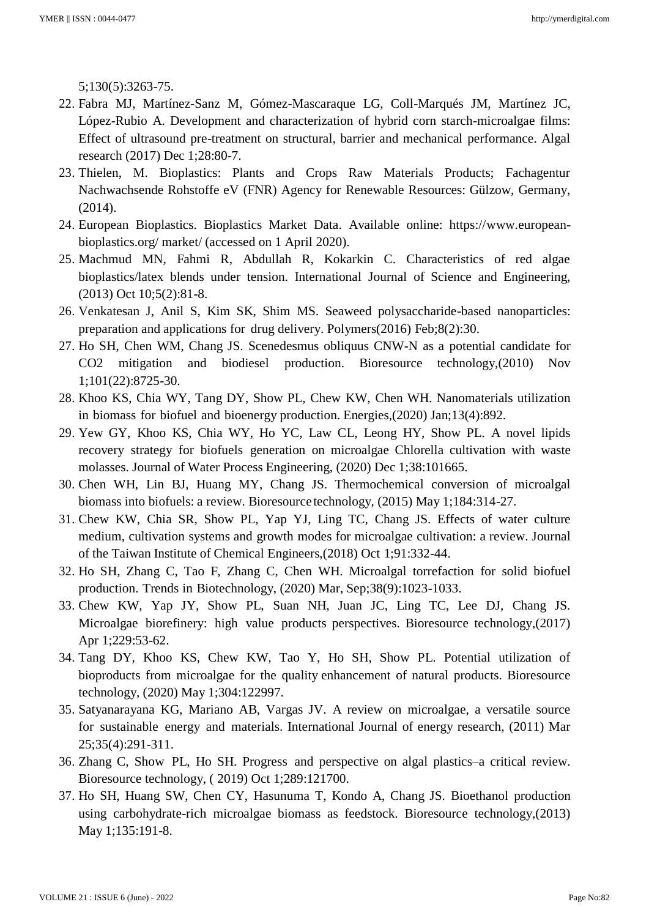5;130(5):3263-75.

- 22. Fabra MJ, Martínez-Sanz M, Gómez-Mascaraque LG, Coll-Marqués JM, Martínez JC, López-Rubio A. Development and characterization of hybrid corn starch-microalgae films: Effect of ultrasound pre-treatment on structural, barrier and mechanical performance. Algal research (2017) Dec 1;28:80-7.
- 23. Thielen, M. Bioplastics: Plants and Crops Raw Materials Products; Fachagentur Nachwachsende Rohstoffe eV (FNR) Agency for Renewable Resources: Gülzow, Germany, (2014).
- 24. European Bioplastics. Bioplastics Market Data. Available online: https:/[/www.european](http://www.european-bioplastics.org/)[bioplastics.org/ m](http://www.european-bioplastics.org/)arket/ (accessed on 1 April 2020).
- 25. Machmud MN, Fahmi R, Abdullah R, Kokarkin C. Characteristics of red algae bioplastics/latex blends under tension. International Journal of Science and Engineering, (2013) Oct 10;5(2):81-8.
- 26. Venkatesan J, Anil S, Kim SK, Shim MS. Seaweed polysaccharide-based nanoparticles: preparation and applications for drug delivery. Polymers(2016) Feb;8(2):30.
- 27. Ho SH, Chen WM, Chang JS. Scenedesmus obliquus CNW-N as a potential candidate for CO2 mitigation and biodiesel production. Bioresource technology,(2010) Nov 1;101(22):8725-30.
- 28. Khoo KS, Chia WY, Tang DY, Show PL, Chew KW, Chen WH. Nanomaterials utilization in biomass for biofuel and bioenergy production. Energies,(2020) Jan;13(4):892.
- 29. Yew GY, Khoo KS, Chia WY, Ho YC, Law CL, Leong HY, Show PL. A novel lipids recovery strategy for biofuels generation on microalgae Chlorella cultivation with waste molasses. Journal of Water Process Engineering, (2020) Dec 1;38:101665.
- 30. Chen WH, Lin BJ, Huang MY, Chang JS. Thermochemical conversion of microalgal biomass into biofuels: a review. Bioresource technology, (2015) May 1;184:314-27.
- 31. Chew KW, Chia SR, Show PL, Yap YJ, Ling TC, Chang JS. Effects of water culture medium, cultivation systems and growth modes for microalgae cultivation: a review. Journal of the Taiwan Institute of Chemical Engineers,(2018) Oct 1;91:332-44.
- 32. Ho SH, Zhang C, Tao F, Zhang C, Chen WH. Microalgal torrefaction for solid biofuel production. Trends in Biotechnology, (2020) Mar, Sep;38(9):1023-1033.
- 33. Chew KW, Yap JY, Show PL, Suan NH, Juan JC, Ling TC, Lee DJ, Chang JS. Microalgae biorefinery: high value products perspectives. Bioresource technology,(2017) Apr 1;229:53-62.
- 34. Tang DY, Khoo KS, Chew KW, Tao Y, Ho SH, Show PL. Potential utilization of bioproducts from microalgae for the quality enhancement of natural products. Bioresource technology, (2020) May 1;304:122997.
- 35. Satyanarayana KG, Mariano AB, Vargas JV. A review on microalgae, a versatile source for sustainable energy and materials. International Journal of energy research, (2011) Mar 25;35(4):291-311.
- 36. Zhang C, Show PL, Ho SH. Progress and perspective on algal plastics–a critical review. Bioresource technology, ( 2019) Oct 1;289:121700.
- 37. Ho SH, Huang SW, Chen CY, Hasunuma T, Kondo A, Chang JS. Bioethanol production using carbohydrate-rich microalgae biomass as feedstock. Bioresource technology,(2013) May 1;135:191-8.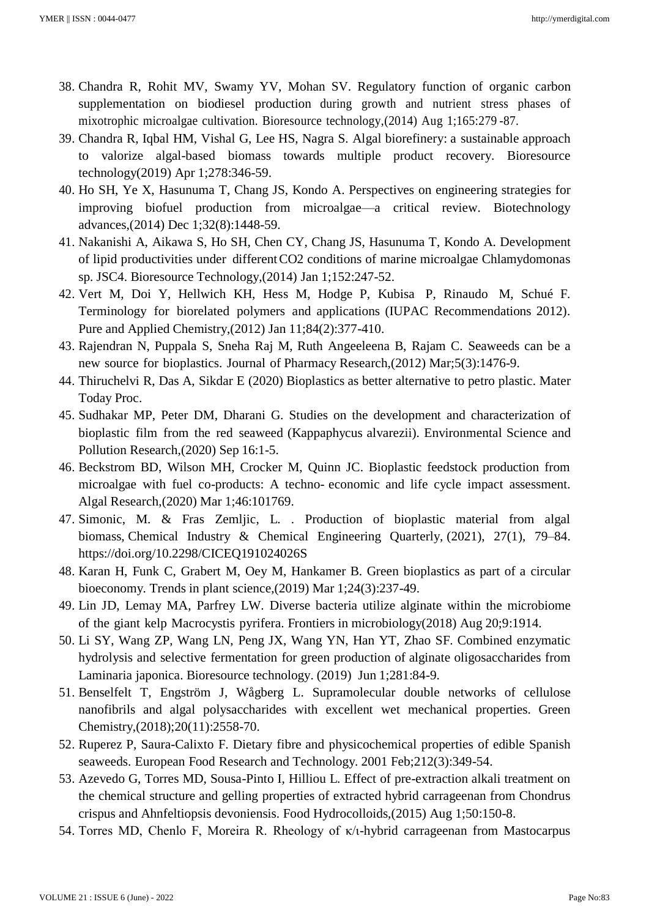- 38. Chandra R, Rohit MV, Swamy YV, Mohan SV. Regulatory function of organic carbon supplementation on biodiesel production during growth and nutrient stress phases of mixotrophic microalgae cultivation. Bioresource technology,(2014) Aug 1;165:279 -87.
- 39. Chandra R, Iqbal HM, Vishal G, Lee HS, Nagra S. Algal biorefinery: a sustainable approach to valorize algal-based biomass towards multiple product recovery. Bioresource technology(2019) Apr 1;278:346-59.
- 40. Ho SH, Ye X, Hasunuma T, Chang JS, Kondo A. Perspectives on engineering strategies for improving biofuel production from microalgae—a critical review. Biotechnology advances,(2014) Dec 1;32(8):1448-59.
- 41. Nakanishi A, Aikawa S, Ho SH, Chen CY, Chang JS, Hasunuma T, Kondo A. Development of lipid productivities under differentCO2 conditions of marine microalgae Chlamydomonas sp. JSC4. Bioresource Technology,(2014) Jan 1;152:247-52.
- 42. Vert M, Doi Y, Hellwich KH, Hess M, Hodge P, Kubisa P, Rinaudo M, Schué F. Terminology for biorelated polymers and applications (IUPAC Recommendations 2012). Pure and Applied Chemistry,(2012) Jan 11;84(2):377-410.
- 43. Rajendran N, Puppala S, Sneha Raj M, Ruth Angeeleena B, Rajam C. Seaweeds can be a new source for bioplastics. Journal of Pharmacy Research,(2012) Mar;5(3):1476-9.
- 44. Thiruchelvi R, Das A, Sikdar E (2020) Bioplastics as better alternative to petro plastic. Mater Today Proc.
- 45. Sudhakar MP, Peter DM, Dharani G. Studies on the development and characterization of bioplastic film from the red seaweed (Kappaphycus alvarezii). Environmental Science and Pollution Research,(2020) Sep 16:1-5.
- 46. Beckstrom BD, Wilson MH, Crocker M, Quinn JC. Bioplastic feedstock production from microalgae with fuel co-products: A techno- economic and life cycle impact assessment. Algal Research,(2020) Mar 1;46:101769.
- 47. Simonic, M. & Fras Zemljic, L. . Production of bioplastic material from algal biomass, Chemical Industry & Chemical Engineering Quarterly, (2021), 27(1), 79–84. https://doi.org/10.2298/CICEQ191024026S
- 48. Karan H, Funk C, Grabert M, Oey M, Hankamer B. Green bioplastics as part of a circular bioeconomy. Trends in plant science,(2019) Mar 1;24(3):237-49.
- 49. Lin JD, Lemay MA, Parfrey LW. Diverse bacteria utilize alginate within the microbiome of the giant kelp Macrocystis pyrifera. Frontiers in microbiology(2018) Aug 20;9:1914.
- 50. Li SY, Wang ZP, Wang LN, Peng JX, Wang YN, Han YT, Zhao SF. Combined enzymatic hydrolysis and selective fermentation for green production of alginate oligosaccharides from Laminaria japonica. Bioresource technology. (2019) Jun 1;281:84-9.
- 51. Benselfelt T, Engström J, Wågberg L. Supramolecular double networks of cellulose nanofibrils and algal polysaccharides with excellent wet mechanical properties. Green Chemistry,(2018);20(11):2558-70.
- 52. Ruperez P, Saura-Calixto F. Dietary fibre and physicochemical properties of edible Spanish seaweeds. European Food Research and Technology. 2001 Feb;212(3):349-54.
- 53. Azevedo G, Torres MD, Sousa-Pinto I, Hilliou L. Effect of pre-extraction alkali treatment on the chemical structure and gelling properties of extracted hybrid carrageenan from Chondrus crispus and Ahnfeltiopsis devoniensis. Food Hydrocolloids,(2015) Aug 1;50:150-8.
- 54. Torres MD, Chenlo F, Moreira R. Rheology of κ/ι-hybrid carrageenan from Mastocarpus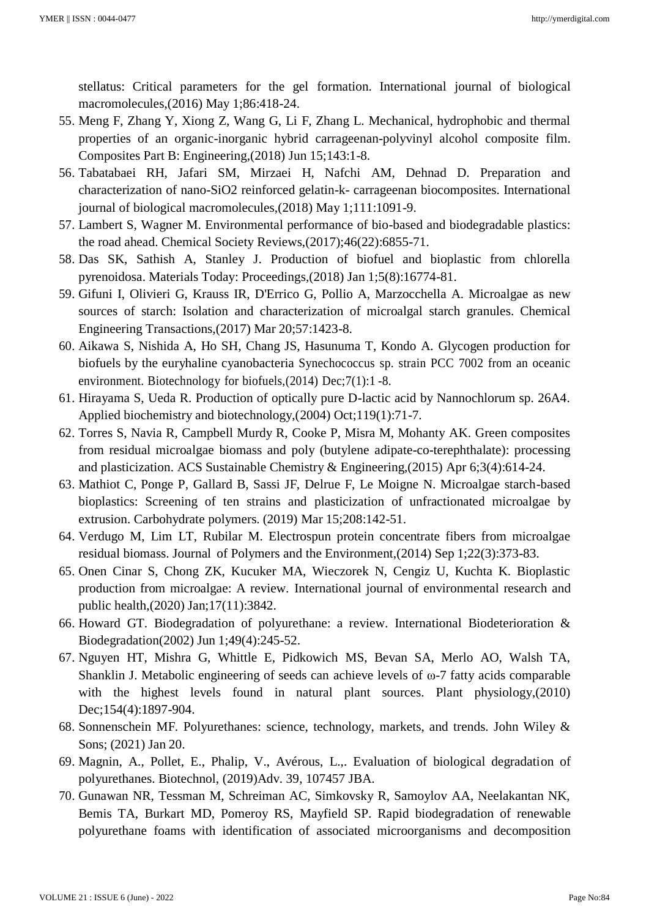stellatus: Critical parameters for the gel formation. International journal of biological macromolecules,(2016) May 1;86:418-24.

- 55. Meng F, Zhang Y, Xiong Z, Wang G, Li F, Zhang L. Mechanical, hydrophobic and thermal properties of an organic-inorganic hybrid carrageenan-polyvinyl alcohol composite film. Composites Part B: Engineering,(2018) Jun 15;143:1-8.
- 56. Tabatabaei RH, Jafari SM, Mirzaei H, Nafchi AM, Dehnad D. Preparation and characterization of nano-SiO2 reinforced gelatin-k- carrageenan biocomposites. International journal of biological macromolecules,(2018) May 1;111:1091-9.
- 57. Lambert S, Wagner M. Environmental performance of bio-based and biodegradable plastics: the road ahead. Chemical Society Reviews,(2017);46(22):6855-71.
- 58. Das SK, Sathish A, Stanley J. Production of biofuel and bioplastic from chlorella pyrenoidosa. Materials Today: Proceedings,(2018) Jan 1;5(8):16774-81.
- 59. Gifuni I, Olivieri G, Krauss IR, D'Errico G, Pollio A, Marzocchella A. Microalgae as new sources of starch: Isolation and characterization of microalgal starch granules. Chemical Engineering Transactions,(2017) Mar 20;57:1423-8.
- 60. Aikawa S, Nishida A, Ho SH, Chang JS, Hasunuma T, Kondo A. Glycogen production for biofuels by the euryhaline cyanobacteria Synechococcus sp. strain PCC 7002 from an oceanic environment. Biotechnology for biofuels, (2014) Dec; 7(1):1 -8.
- 61. Hirayama S, Ueda R. Production of optically pure D-lactic acid by Nannochlorum sp. 26A4. Applied biochemistry and biotechnology,(2004) Oct;119(1):71-7.
- 62. Torres S, Navia R, Campbell Murdy R, Cooke P, Misra M, Mohanty AK. Green composites from residual microalgae biomass and poly (butylene adipate-co-terephthalate): processing and plasticization. ACS Sustainable Chemistry & Engineering,(2015) Apr 6;3(4):614-24.
- 63. Mathiot C, Ponge P, Gallard B, Sassi JF, Delrue F, Le Moigne N. Microalgae starch-based bioplastics: Screening of ten strains and plasticization of unfractionated microalgae by extrusion. Carbohydrate polymers. (2019) Mar 15;208:142-51.
- 64. Verdugo M, Lim LT, Rubilar M. Electrospun protein concentrate fibers from microalgae residual biomass. Journal of Polymers and the Environment,(2014) Sep 1;22(3):373-83.
- 65. Onen Cinar S, Chong ZK, Kucuker MA, Wieczorek N, Cengiz U, Kuchta K. Bioplastic production from microalgae: A review. International journal of environmental research and public health,(2020) Jan;17(11):3842.
- 66. Howard GT. Biodegradation of polyurethane: a review. International Biodeterioration & Biodegradation(2002) Jun 1;49(4):245-52.
- 67. Nguyen HT, Mishra G, Whittle E, Pidkowich MS, Bevan SA, Merlo AO, Walsh TA, Shanklin J. Metabolic engineering of seeds can achieve levels of ω-7 fatty acids comparable with the highest levels found in natural plant sources. Plant physiology,(2010) Dec;154(4):1897-904.
- 68. Sonnenschein MF. Polyurethanes: science, technology, markets, and trends. John Wiley & Sons; (2021) Jan 20.
- 69. Magnin, A., Pollet, E., Phalip, V., Avérous, L.,. Evaluation of biological degradation of polyurethanes. Biotechnol, (2019)Adv. 39, 107457 JBA.
- 70. Gunawan NR, Tessman M, Schreiman AC, Simkovsky R, Samoylov AA, Neelakantan NK, Bemis TA, Burkart MD, Pomeroy RS, Mayfield SP. Rapid biodegradation of renewable polyurethane foams with identification of associated microorganisms and decomposition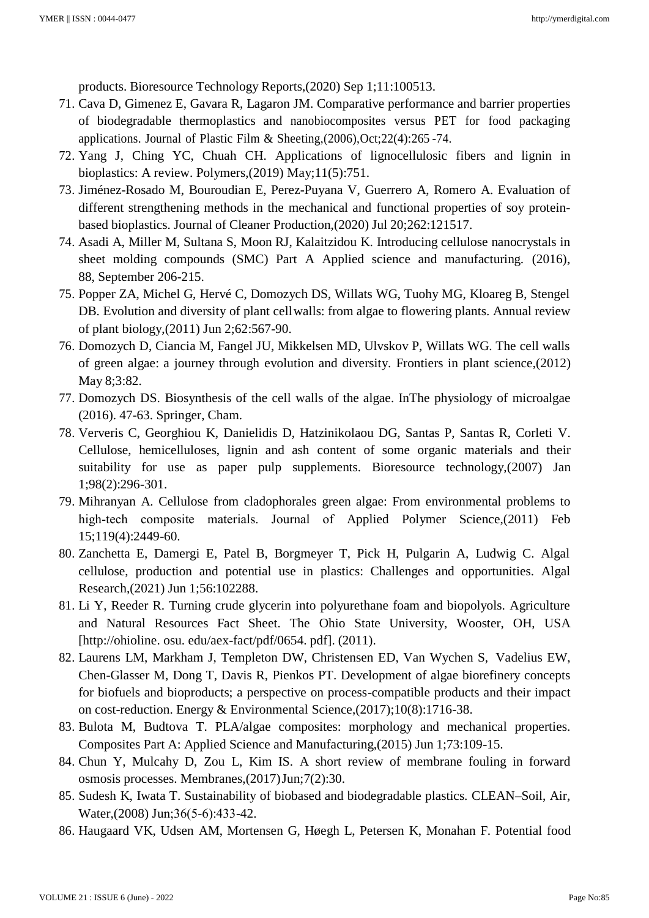products. Bioresource Technology Reports,(2020) Sep 1;11:100513.

- 71. Cava D, Gimenez E, Gavara R, Lagaron JM. Comparative performance and barrier properties of biodegradable thermoplastics and nanobiocomposites versus PET for food packaging applications. Journal of Plastic Film & Sheeting,(2006),Oct;22(4):265 -74.
- 72. Yang J, Ching YC, Chuah CH. Applications of lignocellulosic fibers and lignin in bioplastics: A review. Polymers,(2019) May;11(5):751.
- 73. Jiménez-Rosado M, Bouroudian E, Perez-Puyana V, Guerrero A, Romero A. Evaluation of different strengthening methods in the mechanical and functional properties of soy proteinbased bioplastics. Journal of Cleaner Production,(2020) Jul 20;262:121517.
- 74. Asadi A, Miller M, Sultana S, Moon RJ, Kalaitzidou K. Introducing cellulose nanocrystals in sheet molding compounds (SMC) Part A Applied science and manufacturing. (2016), 88, September 206-215.
- 75. Popper ZA, Michel G, Hervé C, Domozych DS, Willats WG, Tuohy MG, Kloareg B, Stengel DB. Evolution and diversity of plant cellwalls: from algae to flowering plants. Annual review of plant biology,(2011) Jun 2;62:567-90.
- 76. Domozych D, Ciancia M, Fangel JU, Mikkelsen MD, Ulvskov P, Willats WG. The cell walls of green algae: a journey through evolution and diversity. Frontiers in plant science,(2012) May 8;3:82.
- 77. Domozych DS. Biosynthesis of the cell walls of the algae. InThe physiology of microalgae (2016). 47-63. Springer, Cham.
- 78. Ververis C, Georghiou K, Danielidis D, Hatzinikolaou DG, Santas P, Santas R, Corleti V. Cellulose, hemicelluloses, lignin and ash content of some organic materials and their suitability for use as paper pulp supplements. Bioresource technology, (2007) Jan 1;98(2):296-301.
- 79. Mihranyan A. Cellulose from cladophorales green algae: From environmental problems to high-tech composite materials. Journal of Applied Polymer Science,(2011) Feb 15;119(4):2449-60.
- 80. Zanchetta E, Damergi E, Patel B, Borgmeyer T, Pick H, Pulgarin A, Ludwig C. Algal cellulose, production and potential use in plastics: Challenges and opportunities. Algal Research,(2021) Jun 1;56:102288.
- 81. Li Y, Reeder R. Turning crude glycerin into polyurethane foam and biopolyols. Agriculture and Natural Resources Fact Sheet. The Ohio State University, Wooster, OH, USA [\[http://ohioline. o](http://ohioline/)su. edu/aex-fact/pdf/0654. pdf]. (2011).
- 82. Laurens LM, Markham J, Templeton DW, Christensen ED, Van Wychen S, Vadelius EW, Chen-Glasser M, Dong T, Davis R, Pienkos PT. Development of algae biorefinery concepts for biofuels and bioproducts; a perspective on process-compatible products and their impact on cost-reduction. Energy & Environmental Science,(2017);10(8):1716-38.
- 83. Bulota M, Budtova T. PLA/algae composites: morphology and mechanical properties. Composites Part A: Applied Science and Manufacturing,(2015) Jun 1;73:109-15.
- 84. Chun Y, Mulcahy D, Zou L, Kim IS. A short review of membrane fouling in forward osmosis processes. Membranes,(2017)Jun;7(2):30.
- 85. Sudesh K, Iwata T. Sustainability of biobased and biodegradable plastics. CLEAN–Soil, Air, Water,(2008) Jun;36(5‐6):433-42.
- 86. Haugaard VK, Udsen AM, Mortensen G, Høegh L, Petersen K, Monahan F. Potential food